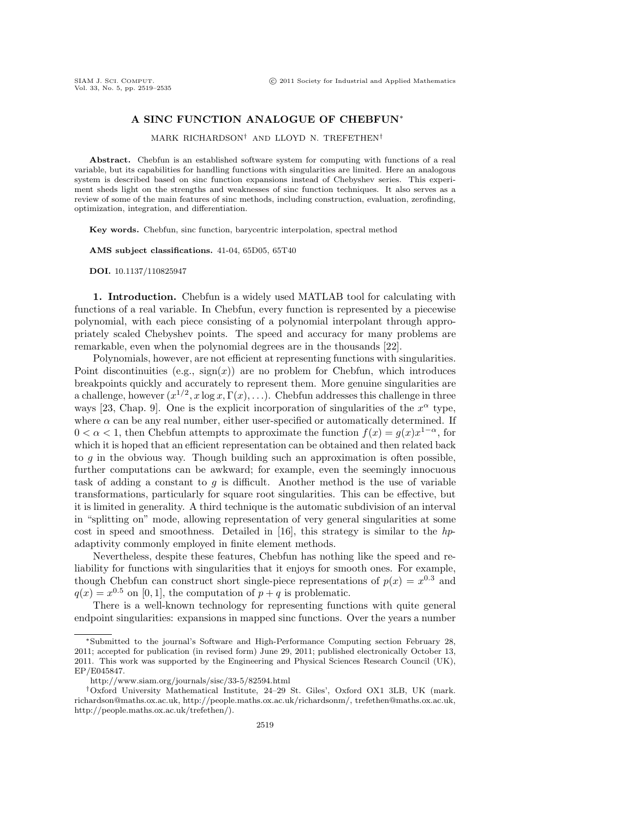## **A SINC FUNCTION ANALOGUE OF CHEBFUN**∗

 $\text{MARK RICHARDSON}^{\dagger}$  AND LLOYD N. TREFETHEN $^{\dagger}$ 

**Abstract.** Chebfun is an established software system for computing with functions of a real variable, but its capabilities for handling functions with singularities are limited. Here an analogous system is described based on sinc function expansions instead of Chebyshev series. This experiment sheds light on the strengths and weaknesses of sinc function techniques. It also serves as a review of some of the main features of sinc methods, including construction, evaluation, zerofinding, optimization, integration, and differentiation.

**Key words.** Chebfun, sinc function, barycentric interpolation, spectral method

**AMS subject classifications.** 41-04, 65D05, 65T40

**DOI.** 10.1137/110825947

**1. Introduction.** Chebfun is a widely used MATLAB tool for calculating with functions of a real variable. In Chebfun, every function is represented by a piecewise polynomial, with each piece consisting of a polynomial interpolant through appropriately scaled Chebyshev points. The speed and accuracy for many problems are remarkable, even when the polynomial degrees are in the thousands [22].

Polynomials, however, are not efficient at representing functions with singularities. Point discontinuities (e.g.,  $sign(x)$ ) are no problem for Chebfun, which introduces breakpoints quickly and accurately to represent them. More genuine singularities are a challenge, however  $(x^{1/2}, x \log x, \Gamma(x), \ldots)$ . Chebfun addresses this challenge in three ways [23, Chap. 9]. One is the explicit incorporation of singularities of the  $x^{\alpha}$  type, where  $\alpha$  can be any real number, either user-specified or automatically determined. If  $0 < \alpha < 1$ , then Chebfun attempts to approximate the function  $f(x) = q(x)x^{1-\alpha}$ , for which it is hoped that an efficient representation can be obtained and then related back to g in the obvious way. Though building such an approximation is often possible, further computations can be awkward; for example, even the seemingly innocuous task of adding a constant to  $q$  is difficult. Another method is the use of variable transformations, particularly for square root singularities. This can be effective, but it is limited in generality. A third technique is the automatic subdivision of an interval in "splitting on" mode, allowing representation of very general singularities at some cost in speed and smoothness. Detailed in [16], this strategy is similar to the *hp*adaptivity commonly employed in finite element methods.

Nevertheless, despite these features, Chebfun has nothing like the speed and reliability for functions with singularities that it enjoys for smooth ones. For example, though Chebfun can construct short single-piece representations of  $p(x) = x^{0.3}$  and  $q(x) = x^{0.5}$  on [0, 1], the computation of  $p + q$  is problematic.

There is a well-known technology for representing functions with quite general endpoint singularities: expansions in mapped sinc functions. Over the years a number

<sup>∗</sup>Submitted to the journal's Software and High-Performance Computing section February 28, 2011; accepted for publication (in revised form) June 29, 2011; published electronically October 13, 2011. This work was supported by the Engineering and Physical Sciences Research Council (UK), EP/E045847.

http://www.siam.org/journals/sisc/33-5/82594.html

<sup>†</sup>Oxford University Mathematical Institute, 24–29 St. Giles', Oxford OX1 3LB, UK (mark. richardson@maths.ox.ac.uk, http://people.maths.ox.ac.uk/richardsonm/, trefethen@maths.ox.ac.uk, http://people.maths.ox.ac.uk/trefethen/).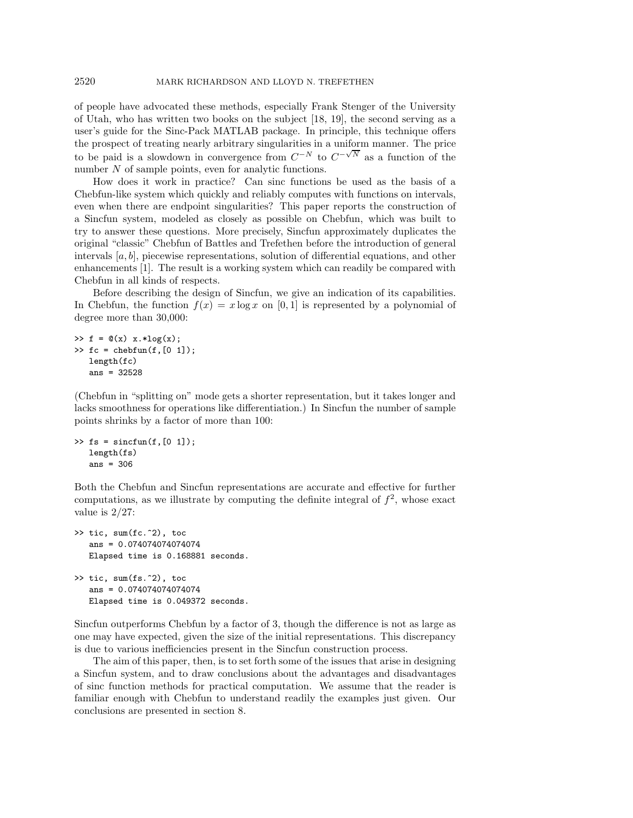of people have advocated these methods, especially Frank Stenger of the University of Utah, who has written two books on the subject [18, 19], the second serving as a user's guide for the Sinc-Pack MATLAB package. In principle, this technique offers the prospect of treating nearly arbitrary singularities in a uniform manner. The price to be paid is a slowdown in convergence from  $C^{-N}$  to  $C^{-\sqrt{N}}$  as a function of the number N of sample points, even for analytic functions.

How does it work in practice? Can sinc functions be used as the basis of a Chebfun-like system which quickly and reliably computes with functions on intervals, even when there are endpoint singularities? This paper reports the construction of a Sincfun system, modeled as closely as possible on Chebfun, which was built to try to answer these questions. More precisely, Sincfun approximately duplicates the original "classic" Chebfun of Battles and Trefethen before the introduction of general intervals  $[a, b]$ , piecewise representations, solution of differential equations, and other enhancements [1]. The result is a working system which can readily be compared with Chebfun in all kinds of respects.

Before describing the design of Sincfun, we give an indication of its capabilities. In Chebfun, the function  $f(x) = x \log x$  on [0, 1] is represented by a polynomial of degree more than 30,000:

```
\Rightarrow f = \mathbb{Q}(x) x.*log(x);
\Rightarrow fc = chebfun(f,[0 1]);
    length(fc)
    ans = 32528
```
(Chebfun in "splitting on" mode gets a shorter representation, but it takes longer and lacks smoothness for operations like differentiation.) In Sincfun the number of sample points shrinks by a factor of more than 100:

```
\Rightarrow fs = sincfun(f, [0 1]);
   length(fs)
   ans = 306
```
Both the Chebfun and Sincfun representations are accurate and effective for further computations, as we illustrate by computing the definite integral of  $f^2$ , whose exact value is 2/27:

```
>> tic, sum(fc.^2), toc
   ans = 0.074074074074074
   Elapsed time is 0.168881 seconds.
>> tic, sum(fs.^2), toc
   ans = 0.074074074074074
   Elapsed time is 0.049372 seconds.
```
Sincfun outperforms Chebfun by a factor of 3, though the difference is not as large as one may have expected, given the size of the initial representations. This discrepancy is due to various inefficiencies present in the Sincfun construction process.

The aim of this paper, then, is to set forth some of the issues that arise in designing a Sincfun system, and to draw conclusions about the advantages and disadvantages of sinc function methods for practical computation. We assume that the reader is familiar enough with Chebfun to understand readily the examples just given. Our conclusions are presented in section 8.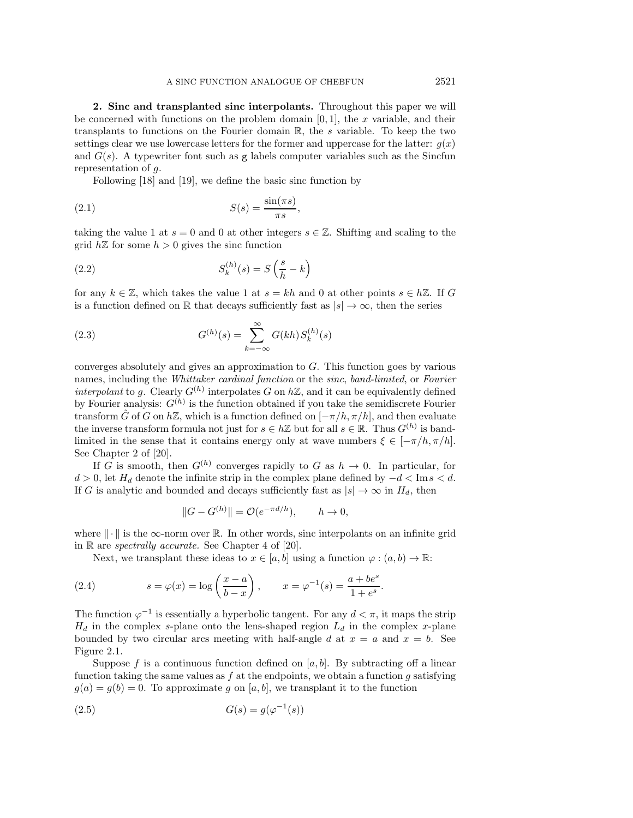**2. Sinc and transplanted sinc interpolants.** Throughout this paper we will be concerned with functions on the problem domain  $[0, 1]$ , the x variable, and their transplants to functions on the Fourier domain  $\mathbb{R}$ , the s variable. To keep the two settings clear we use lowercase letters for the former and uppercase for the latter:  $g(x)$ and  $G(s)$ . A typewriter font such as g labels computer variables such as the Sincfun representation of g.

Following [18] and [19], we define the basic sinc function by

(2.1) 
$$
S(s) = \frac{\sin(\pi s)}{\pi s},
$$

taking the value 1 at  $s = 0$  and 0 at other integers  $s \in \mathbb{Z}$ . Shifting and scaling to the grid  $h\mathbb{Z}$  for some  $h > 0$  gives the sinc function

(2.2) 
$$
S_k^{(h)}(s) = S\left(\frac{s}{h} - k\right)
$$

for any  $k \in \mathbb{Z}$ , which takes the value 1 at  $s = kh$  and 0 at other points  $s \in h\mathbb{Z}$ . If G is a function defined on R that decays sufficiently fast as  $|s| \to \infty$ , then the series

(2.3) 
$$
G^{(h)}(s) = \sum_{k=-\infty}^{\infty} G(kh) S_k^{(h)}(s)
$$

converges absolutely and gives an approximation to G. This function goes by various names, including the *Whittaker cardinal function* or the *sinc*, *band-limited*, or *Fourier interpolant* to g. Clearly  $G^{(h)}$  interpolates G on  $h\mathbb{Z}$ , and it can be equivalently defined by Fourier analysis:  $G^{(h)}$  is the function obtained if you take the semidiscrete Fourier transform  $\hat{G}$  of G on  $h\mathbb{Z}$ , which is a function defined on  $[-\pi/h, \pi/h]$ , and then evaluate the inverse transform formula not just for  $s \in h\mathbb{Z}$  but for all  $s \in \mathbb{R}$ . Thus  $G^{(h)}$  is bandlimited in the sense that it contains energy only at wave numbers  $\xi \in [-\pi/h, \pi/h]$ . See Chapter 2 of [20].

If G is smooth, then  $G^{(h)}$  converges rapidly to G as  $h \to 0$ . In particular, for  $d > 0$ , let  $H_d$  denote the infinite strip in the complex plane defined by  $-d <$  Ims  $d$ . If G is analytic and bounded and decays sufficiently fast as  $|s| \to \infty$  in  $H_d$ , then

$$
||G - G^{(h)}|| = \mathcal{O}(e^{-\pi d/h}), \qquad h \to 0,
$$

where  $\|\cdot\|$  is the  $\infty$ -norm over R. In other words, sinc interpolants on an infinite grid in R are *spectrally accurate.* See Chapter 4 of [20].

Next, we transplant these ideas to  $x \in [a, b]$  using a function  $\varphi : (a, b) \to \mathbb{R}$ :

(2.4) 
$$
s = \varphi(x) = \log\left(\frac{x-a}{b-x}\right), \qquad x = \varphi^{-1}(s) = \frac{a+be^s}{1+e^s}.
$$

The function  $\varphi^{-1}$  is essentially a hyperbolic tangent. For any  $d < \pi$ , it maps the strip  $H_d$  in the complex s-plane onto the lens-shaped region  $L_d$  in the complex x-plane bounded by two circular arcs meeting with half-angle d at  $x = a$  and  $x = b$ . See Figure 2.1.

Suppose f is a continuous function defined on  $[a, b]$ . By subtracting off a linear function taking the same values as  $f$  at the endpoints, we obtain a function  $g$  satisfying  $g(a) = g(b) = 0$ . To approximate g on [a, b], we transplant it to the function

$$
(2.5) \tG(s) = g(\varphi^{-1}(s))
$$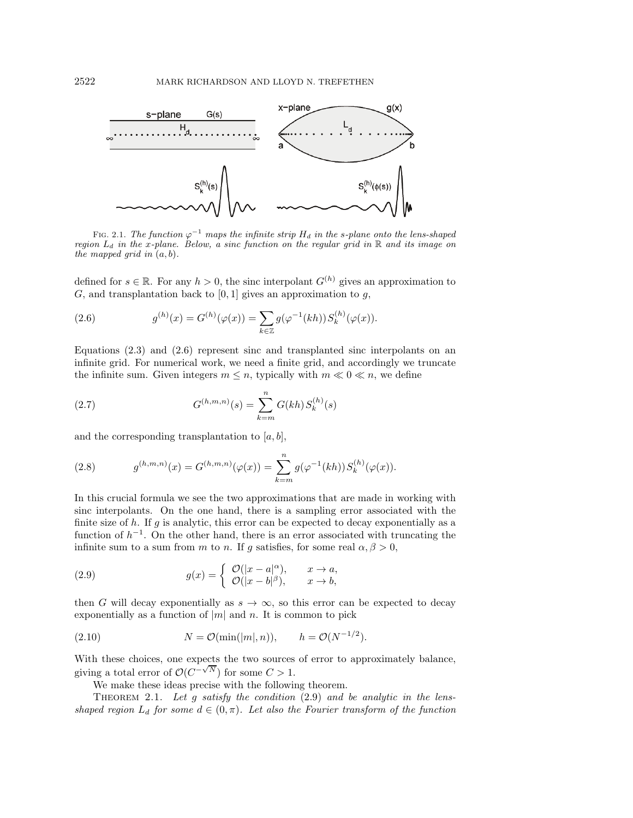

FIG. 2.1. The function  $\varphi^{-1}$  maps the infinite strip  $H_d$  in the s-plane onto the lens-shaped region  $L_d$  in the x-plane. Below, a sinc function on the regular grid in  $\mathbb R$  and its image on the mapped grid in  $(a, b)$ .

defined for  $s \in \mathbb{R}$ . For any  $h > 0$ , the sinc interpolant  $G^{(h)}$  gives an approximation to  $G$ , and transplantation back to  $[0, 1]$  gives an approximation to  $g$ ,

(2.6) 
$$
g^{(h)}(x) = G^{(h)}(\varphi(x)) = \sum_{k \in \mathbb{Z}} g(\varphi^{-1}(kh)) S_k^{(h)}(\varphi(x)).
$$

Equations (2.3) and (2.6) represent sinc and transplanted sinc interpolants on an infinite grid. For numerical work, we need a finite grid, and accordingly we truncate the infinite sum. Given integers  $m \leq n$ , typically with  $m \ll 0 \ll n$ , we define

(2.7) 
$$
G^{(h,m,n)}(s) = \sum_{k=m}^{n} G(kh) S_k^{(h)}(s)
$$

and the corresponding transplantation to  $[a, b]$ ,

(2.8) 
$$
g^{(h,m,n)}(x) = G^{(h,m,n)}(\varphi(x)) = \sum_{k=m}^{n} g(\varphi^{-1}(kh)) S_k^{(h)}(\varphi(x)).
$$

In this crucial formula we see the two approximations that are made in working with sinc interpolants. On the one hand, there is a sampling error associated with the finite size of  $h$ . If  $g$  is analytic, this error can be expected to decay exponentially as a function of  $h^{-1}$ . On the other hand, there is an error associated with truncating the infinite sum to a sum from m to n. If q satisfies, for some real  $\alpha, \beta > 0$ ,

(2.9) 
$$
g(x) = \begin{cases} \mathcal{O}(|x-a|^{\alpha}), & x \to a, \\ \mathcal{O}(|x-b|^{\beta}), & x \to b, \end{cases}
$$

then G will decay exponentially as  $s \to \infty$ , so this error can be expected to decay exponentially as a function of  $|m|$  and n. It is common to pick

(2.10) 
$$
N = \mathcal{O}(\min(|m|, n)), \qquad h = \mathcal{O}(N^{-1/2}).
$$

With these choices, one expects the two sources of error to approximately balance, giving a total error of  $\mathcal{O}(C^{-\sqrt{N}})$  for some  $C > 1$ .

We make these ideas precise with the following theorem.

THEOREM 2.1. Let g satisfy the condition (2.9) and be analytic in the lens*shaped region*  $L_d$  *for some*  $d \in (0, \pi)$ *. Let also the Fourier transform of the function*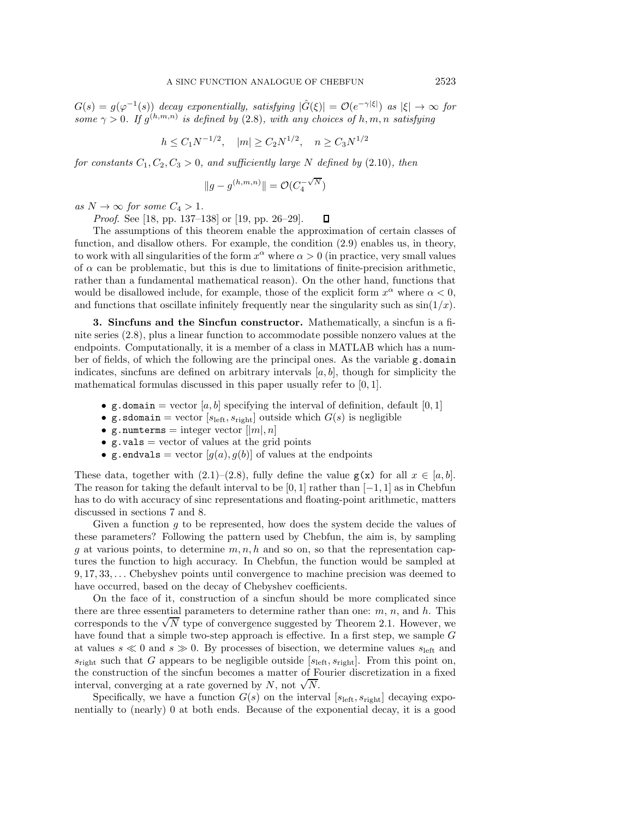$G(s) = g(\varphi^{-1}(s))$  decay exponentially, satisfying  $|\hat{G}(\xi)| = \mathcal{O}(e^{-\gamma|\xi|})$  as  $|\xi| \to \infty$  for *some*  $\gamma > 0$ *. If*  $g^{(h,m,n)}$  *is defined by* (2.8)*, with any choices of* h, m, n *satisfying* 

$$
h \le C_1 N^{-1/2}
$$
,  $|m| \ge C_2 N^{1/2}$ ,  $n \ge C_3 N^{1/2}$ 

*for constants*  $C_1, C_2, C_3 > 0$ *, and sufficiently large* N *defined by* (2.10)*, then* 

$$
\|g-g^{(h,m,n)}\|=\mathcal{O}(C_4^{-\sqrt{N}})
$$

 $as N \rightarrow \infty$  *for some*  $C_4 > 1$ *.* 

*Proof*. See [18, pp. 137–138] or [19, pp. 26–29].  $\Box$ 

The assumptions of this theorem enable the approximation of certain classes of function, and disallow others. For example, the condition (2.9) enables us, in theory, to work with all singularities of the form  $x^{\alpha}$  where  $\alpha > 0$  (in practice, very small values of  $\alpha$  can be problematic, but this is due to limitations of finite-precision arithmetic, rather than a fundamental mathematical reason). On the other hand, functions that would be disallowed include, for example, those of the explicit form  $x^{\alpha}$  where  $\alpha < 0$ , and functions that oscillate infinitely frequently near the singularity such as  $\sin(1/x)$ .

**3. Sincfuns and the Sincfun constructor.** Mathematically, a sincfun is a finite series (2.8), plus a linear function to accommodate possible nonzero values at the endpoints. Computationally, it is a member of a class in MATLAB which has a number of fields, of which the following are the principal ones. As the variable g.domain indicates, sincfuns are defined on arbitrary intervals  $[a, b]$ , though for simplicity the mathematical formulas discussed in this paper usually refer to [0, 1].

- g.domain = vector [a, b] specifying the interval of definition, default [0, 1]
- g.sdomain = vector  $[s_{\text{left}}, s_{\text{right}}]$  outside which  $G(s)$  is negligible
- g.numterms = integer vector  $[|m|, n]$
- $g.yals = vector of values at the grid points$
- g.endvals = vector  $[g(a), g(b)]$  of values at the endpoints

These data, together with  $(2.1)$ – $(2.8)$ , fully define the value  $g(x)$  for all  $x \in [a, b]$ . The reason for taking the default interval to be [0, 1] rather than  $[-1, 1]$  as in Chebfun has to do with accuracy of sinc representations and floating-point arithmetic, matters discussed in sections 7 and 8.

Given a function g to be represented, how does the system decide the values of these parameters? Following the pattern used by Chebfun, the aim is, by sampling g at various points, to determine  $m, n, h$  and so on, so that the representation captures the function to high accuracy. In Chebfun, the function would be sampled at 9, 17, 33,... Chebyshev points until convergence to machine precision was deemed to have occurred, based on the decay of Chebyshev coefficients.

On the face of it, construction of a sincfun should be more complicated since there are three essential parameters to determine rather than one:  $m$ ,  $n$ , and  $h$ . This corresponds to the  $\sqrt{N}$  type of convergence suggested by Theorem 2.1. However, we have found that a simple two-step approach is effective. In a first step, we sample G at values  $s \ll 0$  and  $s \gg 0$ . By processes of bisection, we determine values  $s_{\text{left}}$  and  $s_{\text{right}}$  such that G appears to be negligible outside [ $s_{\text{left}}, s_{\text{right}}$ ]. From this point on, the construction of the sincfun becomes a matter of Fourier discretization in a fixed interval, converging at a rate governed by  $N$ , not  $\sqrt{N}$ .

Specifically, we have a function  $G(s)$  on the interval  $[s_{\text{left}}, s_{\text{right}}]$  decaying exponentially to (nearly) 0 at both ends. Because of the exponential decay, it is a good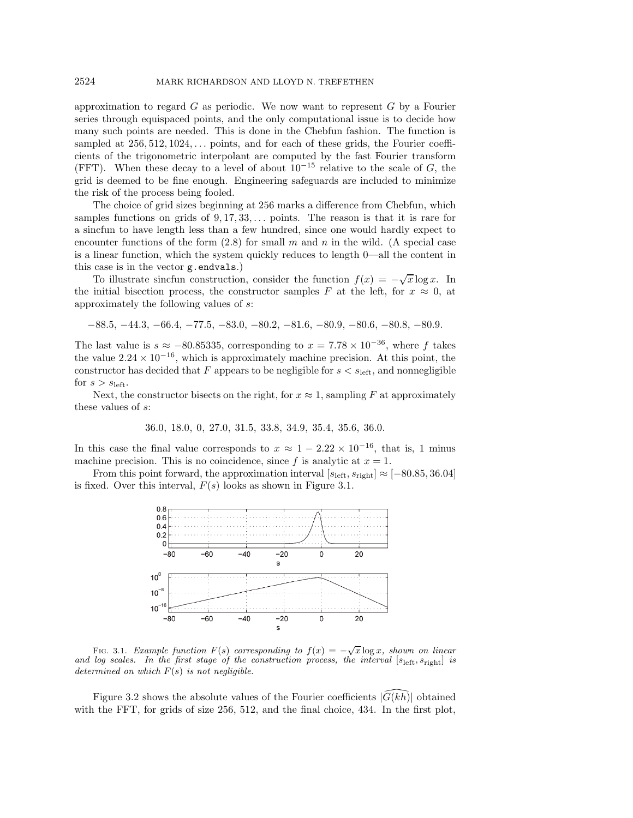approximation to regard  $G$  as periodic. We now want to represent  $G$  by a Fourier series through equispaced points, and the only computational issue is to decide how many such points are needed. This is done in the Chebfun fashion. The function is sampled at  $256, 512, 1024, \ldots$  points, and for each of these grids, the Fourier coefficients of the trigonometric interpolant are computed by the fast Fourier transform (FFT). When these decay to a level of about  $10^{-15}$  relative to the scale of G, the grid is deemed to be fine enough. Engineering safeguards are included to minimize the risk of the process being fooled.

The choice of grid sizes beginning at 256 marks a difference from Chebfun, which samples functions on grids of  $9, 17, 33, \ldots$  points. The reason is that it is rare for a sincfun to have length less than a few hundred, since one would hardly expect to encounter functions of the form  $(2.8)$  for small m and n in the wild. (A special case is a linear function, which the system quickly reduces to length 0—all the content in this case is in the vector g.endvals.)

To illustrate sincfun construction, consider the function  $f(x) = -\sqrt{x} \log x$ . In the initial bisection process, the constructor samples F at the left, for  $x \approx 0$ , at approximately the following values of s:

$$
-88.5, -44.3, -66.4, -77.5, -83.0, -80.2, -81.6, -80.9, -80.6, -80.8, -80.9.
$$

The last value is  $s \approx -80.85335$ , corresponding to  $x = 7.78 \times 10^{-36}$ , where f takes the value  $2.24 \times 10^{-16}$ , which is approximately machine precision. At this point, the constructor has decided that F appears to be negligible for  $s < s_{\text{left}}$ , and nonnegligible for  $s>s_{\text{left}}$ .

Next, the constructor bisects on the right, for  $x \approx 1$ , sampling F at approximately these values of s:

$$
36.0, 18.0, 0, 27.0, 31.5, 33.8, 34.9, 35.4, 35.6, 36.0.
$$

In this case the final value corresponds to  $x \approx 1 - 2.22 \times 10^{-16}$ , that is, 1 minus machine precision. This is no coincidence, since f is analytic at  $x = 1$ .

From this point forward, the approximation interval  $[s_{\text{left}}, s_{\text{right}}] \approx [-80.85, 36.04]$ is fixed. Over this interval,  $F(s)$  looks as shown in Figure 3.1.



FIG. 3.1. Example function  $F(s)$  corresponding to  $f(x) = -\sqrt{x} \log x$ , shown on linear and log scales. In the first stage of the construction process, the interval  $[s_{\text{left}}, s_{\text{right}}]$  is determined on which  $F(s)$  is not negligible.

Figure 3.2 shows the absolute values of the Fourier coefficients  $|\widehat{G(kh)}|$  obtained with the FFT, for grids of size 256, 512, and the final choice, 434. In the first plot,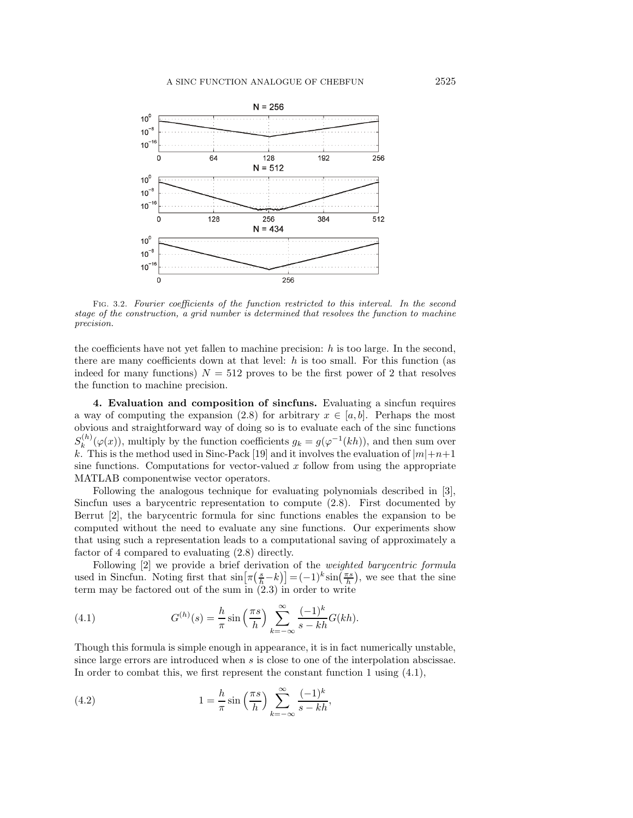

Fig. 3.2. Fourier coefficients of the function restricted to this interval. In the second stage of the construction, a grid number is determined that resolves the function to machine precision.

the coefficients have not yet fallen to machine precision:  $h$  is too large. In the second, there are many coefficients down at that level:  $h$  is too small. For this function (as indeed for many functions)  $N = 512$  proves to be the first power of 2 that resolves the function to machine precision.

**4. Evaluation and composition of sincfuns.** Evaluating a sincfun requires a way of computing the expansion (2.8) for arbitrary  $x \in [a, b]$ . Perhaps the most obvious and straightforward way of doing so is to evaluate each of the sinc functions  $S_k^{(h)}(\varphi(x))$ , multiply by the function coefficients  $g_k = g(\varphi^{-1}(kh))$ , and then sum over k. This is the method used in Sinc-Pack [19] and it involves the evaluation of  $|m|+n+1$ sine functions. Computations for vector-valued  $x$  follow from using the appropriate MATLAB componentwise vector operators.

Following the analogous technique for evaluating polynomials described in [3], Sincfun uses a barycentric representation to compute (2.8). First documented by Berrut [2], the barycentric formula for sinc functions enables the expansion to be computed without the need to evaluate any sine functions. Our experiments show that using such a representation leads to a computational saving of approximately a factor of 4 compared to evaluating (2.8) directly.

Following [2] we provide a brief derivation of the *weighted barycentric formula* used in Sincfun. Noting first that  $\sin[\pi(\frac{s}{h}-k)] = (-1)^k \sin(\frac{\pi s}{h})$ , we see that the sine term may be factored out of the sum in (2.3) in order to write

(4.1) 
$$
G^{(h)}(s) = \frac{h}{\pi} \sin\left(\frac{\pi s}{h}\right) \sum_{k=-\infty}^{\infty} \frac{(-1)^k}{s - kh} G(kh).
$$

Though this formula is simple enough in appearance, it is in fact numerically unstable, since large errors are introduced when s is close to one of the interpolation abscissae. In order to combat this, we first represent the constant function 1 using  $(4.1)$ ,

(4.2) 
$$
1 = \frac{h}{\pi} \sin\left(\frac{\pi s}{h}\right) \sum_{k=-\infty}^{\infty} \frac{(-1)^k}{s - kh},
$$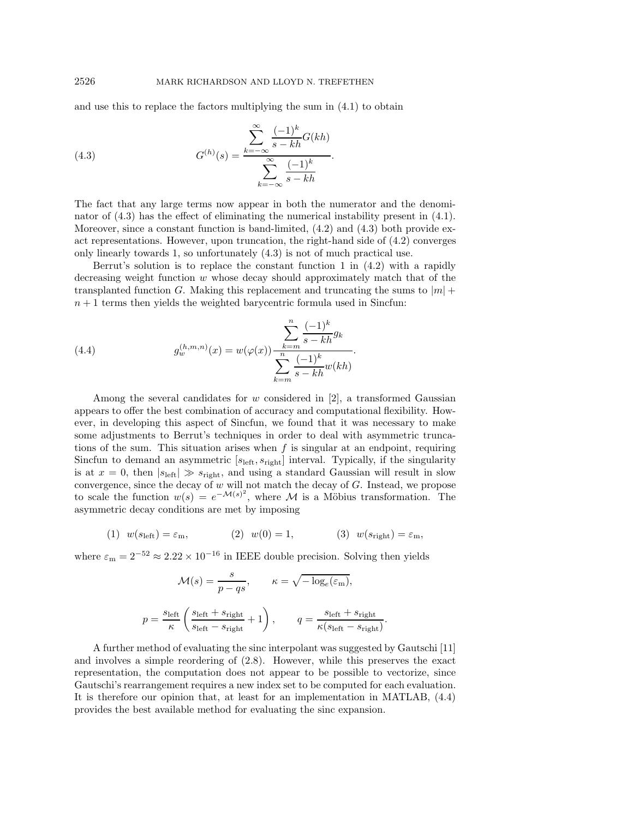and use this to replace the factors multiplying the sum in (4.1) to obtain

(4.3) 
$$
G^{(h)}(s) = \frac{\sum_{k=-\infty}^{\infty} \frac{(-1)^k}{s - kh} G(kh)}{\sum_{k=-\infty}^{\infty} \frac{(-1)^k}{s - kh}}.
$$

The fact that any large terms now appear in both the numerator and the denominator of (4.3) has the effect of eliminating the numerical instability present in (4.1). Moreover, since a constant function is band-limited,  $(4.2)$  and  $(4.3)$  both provide exact representations. However, upon truncation, the right-hand side of (4.2) converges only linearly towards 1, so unfortunately (4.3) is not of much practical use.

Berrut's solution is to replace the constant function 1 in (4.2) with a rapidly decreasing weight function  $w$  whose decay should approximately match that of the transplanted function G. Making this replacement and truncating the sums to  $|m|$  +  $n + 1$  terms then yields the weighted barycentric formula used in Sincfun:

(4.4) 
$$
g_w^{(h,m,n)}(x) = w(\varphi(x)) \frac{\sum_{k=m}^n \frac{(-1)^k}{s - kh} g_k}{\sum_{k=m}^n \frac{(-1)^k}{s - kh} w(kh)}.
$$

Among the several candidates for w considered in [2], a transformed Gaussian appears to offer the best combination of accuracy and computational flexibility. However, in developing this aspect of Sincfun, we found that it was necessary to make some adjustments to Berrut's techniques in order to deal with asymmetric truncations of the sum. This situation arises when  $f$  is singular at an endpoint, requiring Sincfun to demand an asymmetric  $[s<sub>left</sub>, s<sub>right</sub>]$  interval. Typically, if the singularity is at  $x = 0$ , then  $|s_{\text{left}}| \gg s_{\text{right}}$ , and using a standard Gaussian will result in slow convergence, since the decay of  $w$  will not match the decay of  $G$ . Instead, we propose to scale the function  $w(s) = e^{-\mathcal{M}(s)^2}$ , where M is a Möbius transformation. The asymmetric decay conditions are met by imposing

$$
(1) \t w(s_{\text{left}}) = \varepsilon_{\text{m}}, \t (2) \t w(0) = 1, \t (3) \t w(s_{\text{right}}) = \varepsilon_{\text{m}},
$$

where  $\varepsilon_{\rm m} = 2^{-52} \approx 2.22 \times 10^{-16}$  in IEEE double precision. Solving then yields

$$
\mathcal{M}(s) = \frac{s}{p - qs}, \qquad \kappa = \sqrt{-\log_e(\varepsilon_m)},
$$
  

$$
p = \frac{s_{\text{left}}}{\kappa} \left( \frac{s_{\text{left}} + s_{\text{right}}}{s_{\text{left}} - s_{\text{right}}} + 1 \right), \qquad q = \frac{s_{\text{left}} + s_{\text{right}}}{\kappa(s_{\text{left}} - s_{\text{right}})}.
$$

A further method of evaluating the sinc interpolant was suggested by Gautschi [11] and involves a simple reordering of (2.8). However, while this preserves the exact representation, the computation does not appear to be possible to vectorize, since Gautschi's rearrangement requires a new index set to be computed for each evaluation. It is therefore our opinion that, at least for an implementation in MATLAB, (4.4) provides the best available method for evaluating the sinc expansion.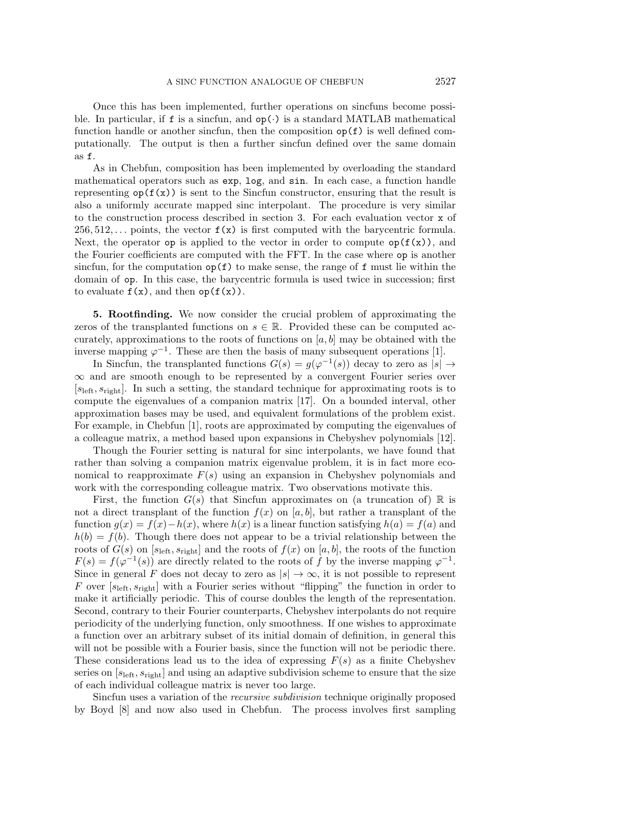Once this has been implemented, further operations on sincfuns become possible. In particular, if f is a sincfun, and  $op(\cdot)$  is a standard MATLAB mathematical function handle or another sincfun, then the composition  $\mathbf{op}(\mathbf{f})$  is well defined computationally. The output is then a further sincfun defined over the same domain as f.

As in Chebfun, composition has been implemented by overloading the standard mathematical operators such as exp, log, and sin. In each case, a function handle representing  $op(f(x))$  is sent to the Sincfun constructor, ensuring that the result is also a uniformly accurate mapped sinc interpolant. The procedure is very similar to the construction process described in section 3. For each evaluation vector x of  $256, 512, \ldots$  points, the vector  $f(x)$  is first computed with the barycentric formula. Next, the operator op is applied to the vector in order to compute  $op(f(x))$ , and the Fourier coefficients are computed with the FFT. In the case where op is another sincfun, for the computation  $op(f)$  to make sense, the range of f must lie within the domain of op. In this case, the barycentric formula is used twice in succession; first to evaluate  $f(x)$ , and then  $op(f(x))$ .

**5. Rootfinding.** We now consider the crucial problem of approximating the zeros of the transplanted functions on  $s \in \mathbb{R}$ . Provided these can be computed accurately, approximations to the roots of functions on  $[a, b]$  may be obtained with the inverse mapping  $\varphi^{-1}$ . These are then the basis of many subsequent operations [1].

In Sincfun, the transplanted functions  $G(s) = g(\varphi^{-1}(s))$  decay to zero as  $|s| \to$  $\infty$  and are smooth enough to be represented by a convergent Fourier series over  $[s_{\text{left}}, s_{\text{right}}]$ . In such a setting, the standard technique for approximating roots is to compute the eigenvalues of a companion matrix [17]. On a bounded interval, other approximation bases may be used, and equivalent formulations of the problem exist. For example, in Chebfun [1], roots are approximated by computing the eigenvalues of a colleague matrix, a method based upon expansions in Chebyshev polynomials [12].

Though the Fourier setting is natural for sinc interpolants, we have found that rather than solving a companion matrix eigenvalue problem, it is in fact more economical to reapproximate  $F(s)$  using an expansion in Chebyshev polynomials and work with the corresponding colleague matrix. Two observations motivate this.

First, the function  $G(s)$  that Sincfun approximates on (a truncation of) R is not a direct transplant of the function  $f(x)$  on [a, b], but rather a transplant of the function  $g(x) = f(x) - h(x)$ , where  $h(x)$  is a linear function satisfying  $h(a) = f(a)$  and  $h(b) = f(b)$ . Though there does not appear to be a trivial relationship between the roots of  $G(s)$  on [ $s_{\text{left}}$ ,  $s_{\text{right}}$ ] and the roots of  $f(x)$  on [a, b], the roots of the function  $F(s) = f(\varphi^{-1}(s))$  are directly related to the roots of f by the inverse mapping  $\varphi^{-1}$ . Since in general F does not decay to zero as  $|s| \to \infty$ , it is not possible to represent F over  $[s_{\text{left}}, s_{\text{right}}]$  with a Fourier series without "flipping" the function in order to make it artificially periodic. This of course doubles the length of the representation. Second, contrary to their Fourier counterparts, Chebyshev interpolants do not require periodicity of the underlying function, only smoothness. If one wishes to approximate a function over an arbitrary subset of its initial domain of definition, in general this will not be possible with a Fourier basis, since the function will not be periodic there. These considerations lead us to the idea of expressing  $F(s)$  as a finite Chebyshev series on  $[s_{\text{left}}, s_{\text{right}}]$  and using an adaptive subdivision scheme to ensure that the size of each individual colleague matrix is never too large.

Sincfun uses a variation of the *recursive subdivision* technique originally proposed by Boyd [8] and now also used in Chebfun. The process involves first sampling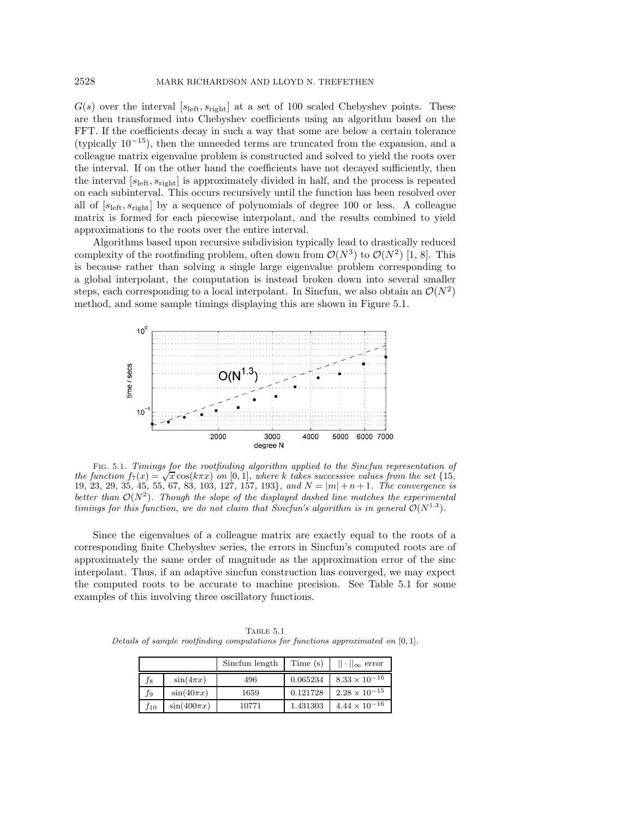$G(s)$  over the interval [ $s_{\text{left}}$ ,  $s_{\text{right}}$ ] at a set of 100 scaled Chebyshev points. These are then transformed into Chebyshev coefficients using an algorithm based on the FFT. If the coefficients decay in such a way that some are below a certain tolerance (typically 10−<sup>15</sup>), then the unneeded terms are truncated from the expansion, and a colleague matrix eigenvalue problem is constructed and solved to yield the roots over the interval. If on the other hand the coefficients have not decayed sufficiently, then the interval  $[s_{\text{left}}, s_{\text{right}}]$  is approximately divided in half, and the process is repeated on each subinterval. This occurs recursively until the function has been resolved over all of  $[s_{\text{left}}, s_{\text{right}}]$  by a sequence of polynomials of degree 100 or less. A colleague matrix is formed for each piecewise interpolant, and the results combined to yield approximations to the roots over the entire interval.

Algorithms based upon recursive subdivision typically lead to drastically reduced complexity of the rootfinding problem, often down from  $\mathcal{O}(N^3)$  to  $\mathcal{O}(N^2)$  [1, 8]. This is because rather than solving a single large eigenvalue problem corresponding to a global interpolant, the computation is instead broken down into several smaller steps, each corresponding to a local interpolant. In Sincfun, we also obtain an  $\mathcal{O}(N^2)$ method, and some sample timings displaying this are shown in Figure 5.1.



Fig. 5.1. Timings for the rootfinding algorithm applied to the Sincfun representation of the function  $f_7(x) = \sqrt{x} \cos(k\pi x)$  on [0, 1], where k takes successive values from the set {15, 19, 23, 29, 35, 45, 55, 67, 83, 103, 127, 157, 193}, and  $N = |m| + n + 1$ . The convergence is better than  $\mathcal{O}(N^2)$ . Though the slope of the displayed dashed line matches the experimental timings for this function, we do not claim that Sincfun's algorithm is in general  $\mathcal{O}(N^{1.3})$ .

Since the eigenvalues of a colleague matrix are exactly equal to the roots of a corresponding finite Chebyshev series, the errors in Sincfun's computed roots are of approximately the same order of magnitude as the approximation error of the sinc interpolant. Thus, if an adaptive sincfun construction has converged, we may expect the computed roots to be accurate to machine precision. See Table 5.1 for some examples of this involving three oscillatory functions.

|          |                 | Sincfun length | Time (s) | $  \cdot  _{\infty}$ error |  |
|----------|-----------------|----------------|----------|----------------------------|--|
| f8.      | $\sin(4\pi x)$  | 496            | 0.065234 | $8.33 \times 10^{-16}$     |  |
| f9       | $\sin(40\pi x)$ | 1659           | 0.121728 | $2.28 \times 10^{-15}$     |  |
| $f_{10}$ | $sin(400\pi x)$ | 10771          | 1.431303 | $4.44 \times 10^{-16}$     |  |

Table 5.1 Details of sample rootfinding computations for functions approximated on  $[0, 1]$ .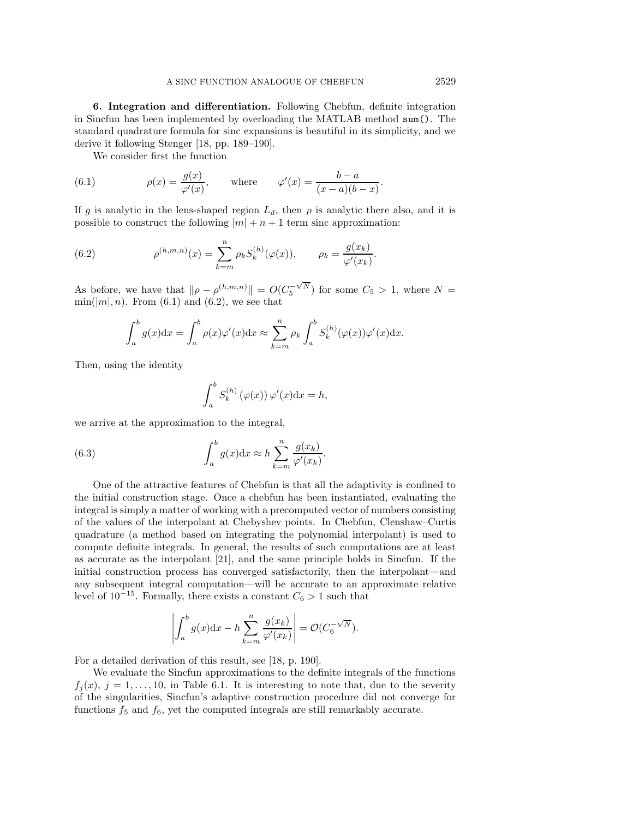**6. Integration and differentiation.** Following Chebfun, definite integration in Sincfun has been implemented by overloading the MATLAB method sum(). The standard quadrature formula for sinc expansions is beautiful in its simplicity, and we derive it following Stenger [18, pp. 189–190].

We consider first the function

(6.1) 
$$
\rho(x) = \frac{g(x)}{\varphi'(x)}, \quad \text{where} \quad \varphi'(x) = \frac{b-a}{(x-a)(b-x)}.
$$

If g is analytic in the lens-shaped region  $L_d$ , then  $\rho$  is analytic there also, and it is possible to construct the following  $|m| + n + 1$  term sinc approximation:

(6.2) 
$$
\rho^{(h,m,n)}(x) = \sum_{k=m}^{n} \rho_k S_k^{(h)}(\varphi(x)), \qquad \rho_k = \frac{g(x_k)}{\varphi'(x_k)}.
$$

As before, we have that  $\|\rho - \rho^{(h,m,n)}\| = O(C_5^{-\sqrt{N}})$  for some  $C_5 > 1$ , where  $N =$  $\min(|m|, n)$ . From (6.1) and (6.2), we see that

$$
\int_a^b g(x)dx = \int_a^b \rho(x)\varphi'(x)dx \approx \sum_{k=m}^n \rho_k \int_a^b S_k^{(h)}(\varphi(x))\varphi'(x)dx.
$$

Then, using the identity

$$
\int_a^b S_k^{(h)}\left(\varphi(x)\right)\varphi'(x) \mathrm{d}x = h,
$$

we arrive at the approximation to the integral,

(6.3) 
$$
\int_{a}^{b} g(x) dx \approx h \sum_{k=m}^{n} \frac{g(x_k)}{\varphi'(x_k)}.
$$

One of the attractive features of Chebfun is that all the adaptivity is confined to the initial construction stage. Once a chebfun has been instantiated, evaluating the integral is simply a matter of working with a precomputed vector of numbers consisting of the values of the interpolant at Chebyshev points. In Chebfun, Clenshaw–Curtis quadrature (a method based on integrating the polynomial interpolant) is used to compute definite integrals. In general, the results of such computations are at least as accurate as the interpolant [21], and the same principle holds in Sincfun. If the initial construction process has converged satisfactorily, then the interpolant—and any subsequent integral computation—will be accurate to an approximate relative level of  $10^{-15}$ . Formally, there exists a constant  $C_6 > 1$  such that

$$
\left| \int_a^b g(x) dx - h \sum_{k=m}^n \frac{g(x_k)}{\varphi'(x_k)} \right| = \mathcal{O}(C_6^{-\sqrt{N}}).
$$

For a detailed derivation of this result, see [18, p. 190].

We evaluate the Sincfun approximations to the definite integrals of the functions  $f_j(x)$ ,  $j = 1, \ldots, 10$ , in Table 6.1. It is interesting to note that, due to the severity of the singularities, Sincfun's adaptive construction procedure did not converge for functions  $f_5$  and  $f_6$ , yet the computed integrals are still remarkably accurate.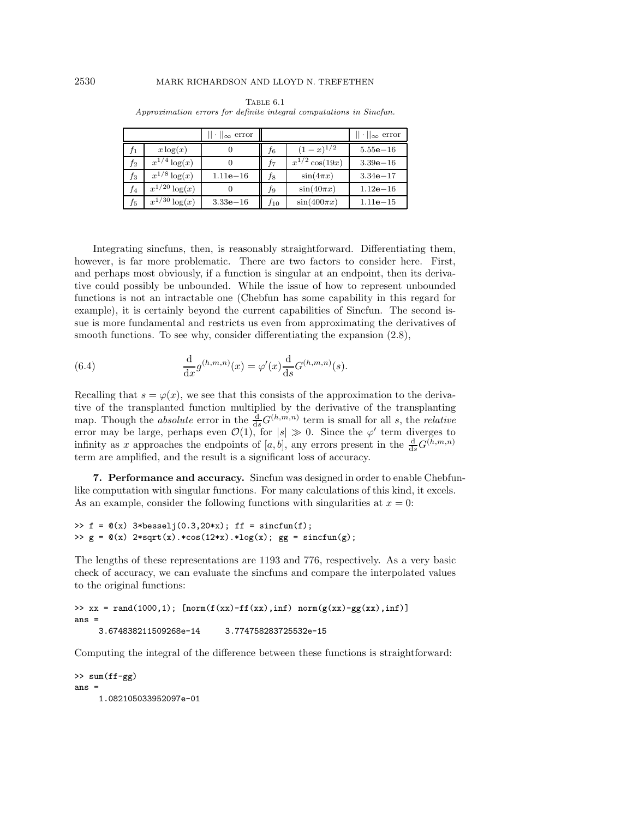|       |                    | $  \cdot  _{\infty}$ error |     |                     | $  \cdot  _{\infty}$ error |
|-------|--------------------|----------------------------|-----|---------------------|----------------------------|
| J1    | $x \log(x)$        | $\cup$                     | ,†6 | $(1-x)^{1/2}$       | $5.55e - 16$               |
| $f_2$ | $x^{1/4}$ log(x)   |                            | f7  | $x^{1/2} \cos(19x)$ | $3.39e - 16$               |
| fз    | $x^{1/8}$ log(x)   | $1.11e-16$                 | t8  | $\sin(4\pi x)$      | $3.34e - 17$               |
| $f_4$ | $x^{1/20} \log(x)$ |                            | f9  | $\sin(40\pi x)$     | $1.12e-16$                 |
| $f_5$ | $x^{1/30} \log(x)$ | $3.33e - 16$               | f10 | $\sin(400\pi x)$    | $1.11e-15$                 |

Table 6.1 Approximation errors for definite integral computations in Sincfun.

Integrating sincfuns, then, is reasonably straightforward. Differentiating them, however, is far more problematic. There are two factors to consider here. First, and perhaps most obviously, if a function is singular at an endpoint, then its derivative could possibly be unbounded. While the issue of how to represent unbounded functions is not an intractable one (Chebfun has some capability in this regard for example), it is certainly beyond the current capabilities of Sincfun. The second issue is more fundamental and restricts us even from approximating the derivatives of smooth functions. To see why, consider differentiating the expansion  $(2.8)$ ,

(6.4) 
$$
\frac{d}{dx}g^{(h,m,n)}(x) = \varphi'(x)\frac{d}{ds}G^{(h,m,n)}(s).
$$

Recalling that  $s = \varphi(x)$ , we see that this consists of the approximation to the derivative of the transplanted function multiplied by the derivative of the transplanting map. Though the *absolute* error in the  $\frac{d}{ds}G^{(h,m,n)}$  term is small for all s, the *relative* error may be large, perhaps even  $\mathcal{O}(1)$ , for  $|s| \gg 0$ . Since the  $\varphi'$  term diverges to infinity as x approaches the endpoints of  $[a, b]$ , any errors present in the  $\frac{d}{ds}G^{(h,m,n)}$ term are amplified, and the result is a significant loss of accuracy.

**7. Performance and accuracy.** Sincfun was designed in order to enable Chebfunlike computation with singular functions. For many calculations of this kind, it excels. As an example, consider the following functions with singularities at  $x = 0$ :

```
\Rightarrow f = \mathbb{O}(x) 3*besselj(0.3,20*x); ff = sincfun(f);
>> g = 0(x) 2*sqrt(x).*cos(12*x).*log(x); gg = sincfun(g);
```
The lengths of these representations are 1193 and 776, respectively. As a very basic check of accuracy, we can evaluate the sincfuns and compare the interpolated values to the original functions:

```
>> xx = rand(1000,1); [norm(f(xx)-ff(xx),inf) norm(g(xx)-gg(xx),inf)]
ans =
    3.674838211509268e-14 3.774758283725532e-15
```
Computing the integral of the difference between these functions is straightforward:

```
>> sum(ff-gg)
ans =
     1.082105033952097e-01
```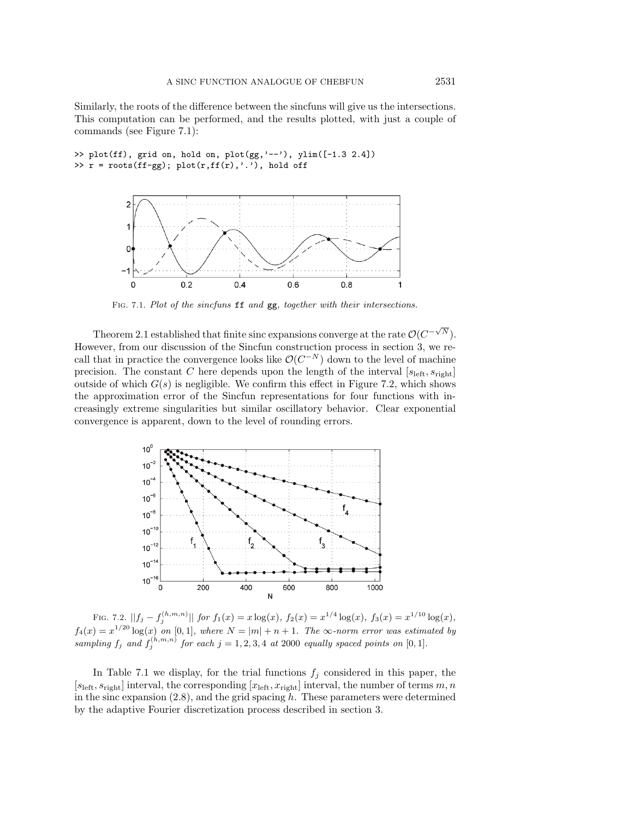Similarly, the roots of the difference between the sincfuns will give us the intersections. This computation can be performed, and the results plotted, with just a couple of commands (see Figure 7.1):

>> plot(ff), grid on, hold on, plot(gg,'--'), ylim( $[-1.3 2.4]$ )  $\rightarrow$  r = roots(ff-gg); plot(r,ff(r),'.'), hold off



FIG. 7.1. Plot of the sincfuns ff and gg, together with their intersections.

Theorem 2.1 established that finite sinc expansions converge at the rate  $\mathcal{O}(C^{-\sqrt{N}})$ . However, from our discussion of the Sincfun construction process in section 3, we recall that in practice the convergence looks like  $\mathcal{O}(C^{-N})$  down to the level of machine precision. The constant C here depends upon the length of the interval  $[s_{\text{left}}, s_{\text{right}}]$ outside of which  $G(s)$  is negligible. We confirm this effect in Figure 7.2, which shows the approximation error of the Sincfun representations for four functions with increasingly extreme singularities but similar oscillatory behavior. Clear exponential convergence is apparent, down to the level of rounding errors.



FIG. 7.2.  $||f_j - f_j^{(h,m,n)}||$  for  $f_1(x) = x \log(x)$ ,  $f_2(x) = x^{1/4} \log(x)$ ,  $f_3(x) = x^{1/10} \log(x)$ ,  $f_4(x) = x^{1/20} \log(x)$  on [0, 1], where  $N = |m| + n + 1$ . The  $\infty$ -norm error was estimated by sampling  $f_j$  and  $f_j^{(h,m,n)}$  for each  $j = 1, 2, 3, 4$  at 2000 equally spaced points on [0, 1].

In Table 7.1 we display, for the trial functions  $f_j$  considered in this paper, the  $[s_{\text{left}}, s_{\text{right}}]$  interval, the corresponding  $[x_{\text{left}}, x_{\text{right}}]$  interval, the number of terms  $m, n$ in the sinc expansion  $(2.8)$ , and the grid spacing  $h$ . These parameters were determined by the adaptive Fourier discretization process described in section 3.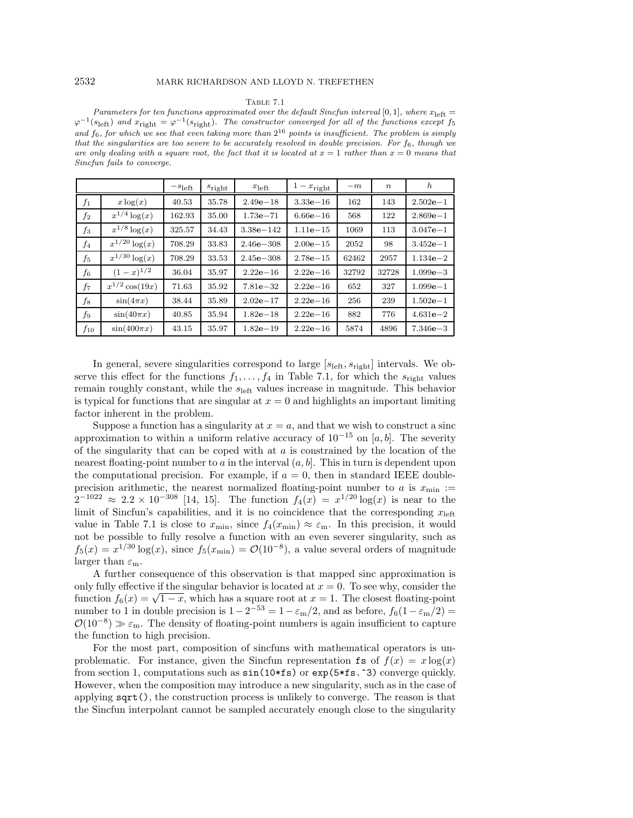## Table 7.1

Parameters for ten functions approximated over the default Sincfun interval [0, 1], where  $x_{\text{left}} =$  $\varphi^{-1}(s_{\text{left}})$  and  $x_{\text{right}} = \varphi^{-1}(s_{\text{right}})$ . The constructor converged for all of the functions except f<sub>5</sub> and  $f_6$ , for which we see that even taking more than  $2^{16}$  points is insufficient. The problem is simply that the singularities are too severe to be accurately resolved in double precision. For  $f_6$ , though we are only dealing with a square root, the fact that it is located at  $x = 1$  rather than  $x = 0$  means that Sincfun fails to converge.

|             |                     | $-s_{\text{left}}$ | $s_{\text{right}}$ | $x_{\text{left}}$ | $1-x_{\text{right}}$ | $-m$  | $\boldsymbol{n}$ | $\boldsymbol{h}$ |
|-------------|---------------------|--------------------|--------------------|-------------------|----------------------|-------|------------------|------------------|
| $f_1$       | $x \log(x)$         | 40.53              | 35.78              | $2.49e - 18$      | $3.33e - 16$         | 162   | 143              | $2.502e-1$       |
| $f_2$       | $x^{1/4} \log(x)$   | 162.93             | 35.00              | $1.73e - 71$      | $6.66e - 16$         | 568   | 122              | $2.869e - 1$     |
| $f_3$       | $x^{1/8} \log(x)$   | 325.57             | 34.43              | $3.38e - 142$     | $1.11e-15$           | 1069  | 113              | $3.047e - 1$     |
| $f_4$       | $x^{1/20} \log(x)$  | 708.29             | 33.83              | $2.46e - 308$     | $2.00e - 15$         | 2052  | 98               | $3.452e - 1$     |
| $f_5$       | $x^{1/30} \log(x)$  | 708.29             | 33.53              | $2.45e - 308$     | $2.78e - 15$         | 62462 | 2957             | $1.134e - 2$     |
| $f_{\rm 6}$ | $(1-x)^{1/2}$       | 36.04              | 35.97              | $2.22e - 16$      | $2.22e-16$           | 32792 | 32728            | $1.099e - 3$     |
| $f_7$       | $x^{1/2} \cos(19x)$ | 71.63              | 35.92              | $7.81e - 32$      | $2.22e - 16$         | 652   | 327              | $1.099e - 1$     |
| $f_8$       | $\sin(4\pi x)$      | 38.44              | 35.89              | $2.02e-17$        | $2.22e - 16$         | 256   | 239              | $1.502e - 1$     |
| $f_9$       | $\sin(40\pi x)$     | 40.85              | 35.94              | $1.82e - 18$      | $2.22e - 16$         | 882   | 776              | $4.631e - 2$     |
| $f_{10}$    | $sin(400\pi x)$     | 43.15              | 35.97              | $1.82e - 19$      | $2.22e-16$           | 5874  | 4896             | $7.346e - 3$     |

In general, severe singularities correspond to large  $[s_{\text{left}}, s_{\text{right}}]$  intervals. We observe this effect for the functions  $f_1, \ldots, f_4$  in Table 7.1, for which the  $s_{\text{right}}$  values remain roughly constant, while the  $s_{\text{left}}$  values increase in magnitude. This behavior is typical for functions that are singular at  $x = 0$  and highlights an important limiting factor inherent in the problem.

Suppose a function has a singularity at  $x = a$ , and that we wish to construct a sinc approximation to within a uniform relative accuracy of  $10^{-15}$  on [a, b]. The severity of the singularity that can be coped with at  $a$  is constrained by the location of the nearest floating-point number to a in the interval  $(a, b]$ . This in turn is dependent upon the computational precision. For example, if  $a = 0$ , then in standard IEEE doubleprecision arithmetic, the nearest normalized floating-point number to a is  $x_{\min}$ :  $2^{-1022} \approx 2.2 \times 10^{-308}$  [14, 15]. The function  $f_4(x) = x^{1/20} \log(x)$  is near to the limit of Sincfun's capabilities, and it is no coincidence that the corresponding  $x_{\text{left}}$ value in Table 7.1 is close to  $x_{\min}$ , since  $f_4(x_{\min}) \approx \varepsilon_m$ . In this precision, it would not be possible to fully resolve a function with an even severer singularity, such as  $f_5(x) = x^{1/30} \log(x)$ , since  $f_5(x_{\min}) = \mathcal{O}(10^{-8})$ , a value several orders of magnitude larger than  $\varepsilon_{\rm m}$ .

A further consequence of this observation is that mapped sinc approximation is only fully effective if the singular behavior is located at  $x = 0$ . To see why, consider the function  $f_6(x) = \sqrt{1-x}$ , which has a square root at  $x = 1$ . The closest floating-point number to 1 in double precision is  $1-2^{-53} = 1-\epsilon_m/2$ , and as before,  $f_6(1-\epsilon_m/2) =$  $\mathcal{O}(10^{-8}) \gg \varepsilon_{\rm m}$ . The density of floating-point numbers is again insufficient to capture the function to high precision.

For the most part, composition of sincfuns with mathematical operators is unproblematic. For instance, given the Sincfun representation fs of  $f(x) = x \log(x)$ from section 1, computations such as  $\sin(10*fs)$  or  $\exp(5*fs.^3)$  converge quickly. However, when the composition may introduce a new singularity, such as in the case of applying sqrt(), the construction process is unlikely to converge. The reason is that the Sincfun interpolant cannot be sampled accurately enough close to the singularity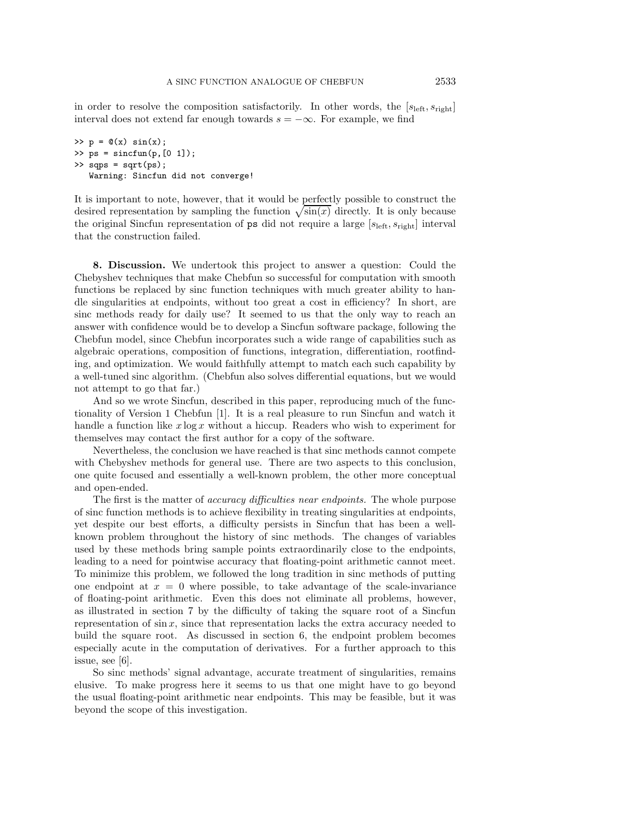in order to resolve the composition satisfactorily. In other words, the  $[s_{\text{left}}, s_{\text{right}}]$ interval does not extend far enough towards  $s = -\infty$ . For example, we find

```
\gg p = \mathbb{Q}(x) sin(x);
>> ps = sincfun(p,[0 1]);
>> sqps = sqrt(ps);
   Warning: Sincfun did not converge!
```
It is important to note, however, that it would be perfectly possible to construct the desired representation by sampling the function  $\sqrt{\sin(x)}$  directly. It is only because the original Sincfun representation of ps did not require a large  $[s_{\text{left}}, s_{\text{right}}]$  interval that the construction failed.

**8. Discussion.** We undertook this project to answer a question: Could the Chebyshev techniques that make Chebfun so successful for computation with smooth functions be replaced by sinc function techniques with much greater ability to handle singularities at endpoints, without too great a cost in efficiency? In short, are sinc methods ready for daily use? It seemed to us that the only way to reach an answer with confidence would be to develop a Sincfun software package, following the Chebfun model, since Chebfun incorporates such a wide range of capabilities such as algebraic operations, composition of functions, integration, differentiation, rootfinding, and optimization. We would faithfully attempt to match each such capability by a well-tuned sinc algorithm. (Chebfun also solves differential equations, but we would not attempt to go that far.)

And so we wrote Sincfun, described in this paper, reproducing much of the functionality of Version 1 Chebfun [1]. It is a real pleasure to run Sincfun and watch it handle a function like  $x \log x$  without a hiccup. Readers who wish to experiment for themselves may contact the first author for a copy of the software.

Nevertheless, the conclusion we have reached is that sinc methods cannot compete with Chebyshev methods for general use. There are two aspects to this conclusion, one quite focused and essentially a well-known problem, the other more conceptual and open-ended.

The first is the matter of *accuracy difficulties near endpoints.* The whole purpose of sinc function methods is to achieve flexibility in treating singularities at endpoints, yet despite our best efforts, a difficulty persists in Sincfun that has been a wellknown problem throughout the history of sinc methods. The changes of variables used by these methods bring sample points extraordinarily close to the endpoints, leading to a need for pointwise accuracy that floating-point arithmetic cannot meet. To minimize this problem, we followed the long tradition in sinc methods of putting one endpoint at  $x = 0$  where possible, to take advantage of the scale-invariance of floating-point arithmetic. Even this does not eliminate all problems, however, as illustrated in section 7 by the difficulty of taking the square root of a Sincfun representation of  $\sin x$ , since that representation lacks the extra accuracy needed to build the square root. As discussed in section 6, the endpoint problem becomes especially acute in the computation of derivatives. For a further approach to this issue, see [6].

So sinc methods' signal advantage, accurate treatment of singularities, remains elusive. To make progress here it seems to us that one might have to go beyond the usual floating-point arithmetic near endpoints. This may be feasible, but it was beyond the scope of this investigation.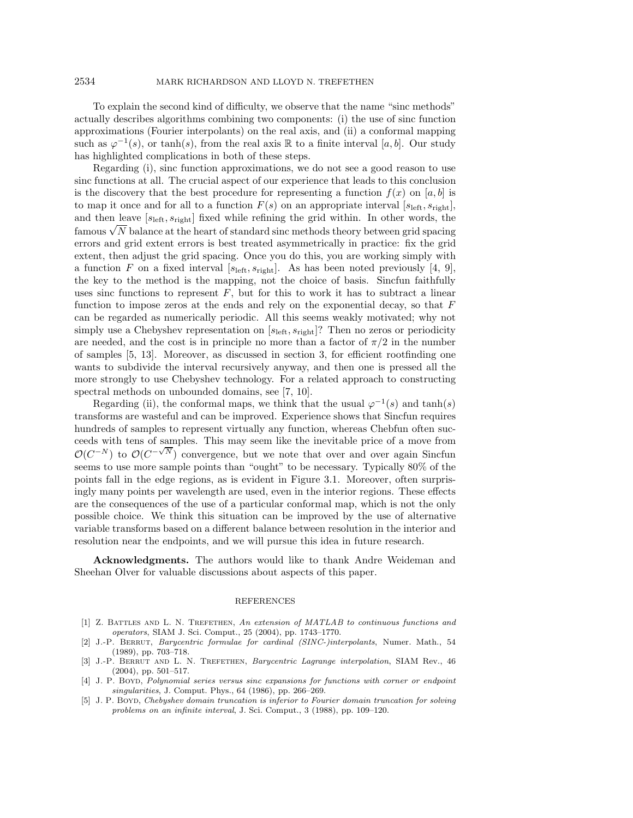To explain the second kind of difficulty, we observe that the name "sinc methods" actually describes algorithms combining two components: (i) the use of sinc function approximations (Fourier interpolants) on the real axis, and (ii) a conformal mapping such as  $\varphi^{-1}(s)$ , or tanh $(s)$ , from the real axis R to a finite interval [a, b]. Our study has highlighted complications in both of these steps.

Regarding (i), sinc function approximations, we do not see a good reason to use sinc functions at all. The crucial aspect of our experience that leads to this conclusion is the discovery that the best procedure for representing a function  $f(x)$  on [a, b] is to map it once and for all to a function  $F(s)$  on an appropriate interval [ $s_{\text{left}}, s_{\text{right}}$ ], and then leave  $[s_{\text{left}}, s_{\text{right}}]$  fixed while refining the grid within. In other words, the famous  $\sqrt{N}$  balance at the heart of standard sinc methods theory between grid spacing errors and grid extent errors is best treated asymmetrically in practice: fix the grid extent, then adjust the grid spacing. Once you do this, you are working simply with a function F on a fixed interval  $[s_{\text{left}}, s_{\text{right}}]$ . As has been noted previously [4, 9], the key to the method is the mapping, not the choice of basis. Sincfun faithfully uses sinc functions to represent  $F$ , but for this to work it has to subtract a linear function to impose zeros at the ends and rely on the exponential decay, so that  $F$ can be regarded as numerically periodic. All this seems weakly motivated; why not simply use a Chebyshev representation on  $[s_{\text{left}}, s_{\text{right}}]$ ? Then no zeros or periodicity are needed, and the cost is in principle no more than a factor of  $\pi/2$  in the number of samples [5, 13]. Moreover, as discussed in section 3, for efficient rootfinding one wants to subdivide the interval recursively anyway, and then one is pressed all the more strongly to use Chebyshev technology. For a related approach to constructing spectral methods on unbounded domains, see [7, 10].

Regarding (ii), the conformal maps, we think that the usual  $\varphi^{-1}(s)$  and tanh(s) transforms are wasteful and can be improved. Experience shows that Sincfun requires hundreds of samples to represent virtually any function, whereas Chebfun often succeeds with tens of samples. This may seem like the inevitable price of a move from  $\mathcal{O}(C^{-N})$  to  $\mathcal{O}(C^{-\sqrt{N}})$  convergence, but we note that over and over again Sincfun seems to use more sample points than "ought" to be necessary. Typically 80% of the points fall in the edge regions, as is evident in Figure 3.1. Moreover, often surprisingly many points per wavelength are used, even in the interior regions. These effects are the consequences of the use of a particular conformal map, which is not the only possible choice. We think this situation can be improved by the use of alternative variable transforms based on a different balance between resolution in the interior and resolution near the endpoints, and we will pursue this idea in future research.

**Acknowledgments.** The authors would like to thank Andre Weideman and Sheehan Olver for valuable discussions about aspects of this paper.

## REFERENCES

- [1] Z. BATTLES AND L. N. TREFETHEN, An extension of MATLAB to continuous functions and operators, SIAM J. Sci. Comput., 25 (2004), pp. 1743–1770.
- [2] J.-P. Berrut, Barycentric formulae for cardinal (SINC-)interpolants, Numer. Math., 54 (1989), pp. 703–718.
- [3] J.-P. BERRUT AND L. N. TREFETHEN, Barycentric Lagrange interpolation, SIAM Rev., 46 (2004), pp. 501–517.
- [4] J. P. Boyd, Polynomial series versus sinc expansions for functions with corner or endpoint singularities, J. Comput. Phys., 64 (1986), pp. 266–269.
- [5] J. P. BOYD, Chebyshev domain truncation is inferior to Fourier domain truncation for solving problems on an infinite interval, J. Sci. Comput., 3 (1988), pp. 109–120.